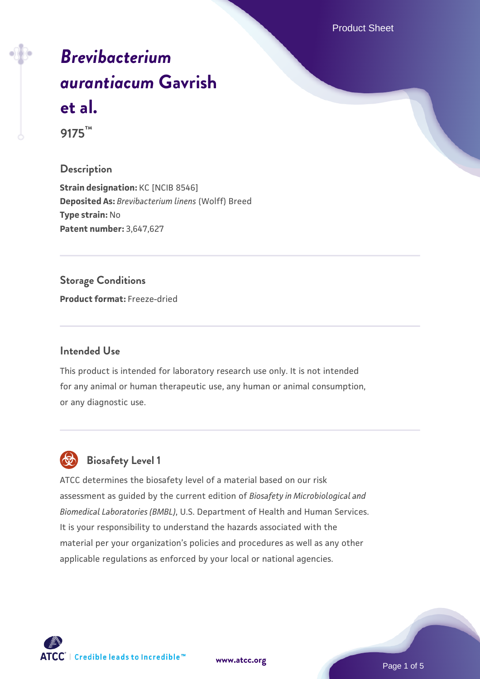Product Sheet

# *[Brevibacterium](https://www.atcc.org/products/9175) [aurantiacum](https://www.atcc.org/products/9175)* **[Gavrish](https://www.atcc.org/products/9175) [et al.](https://www.atcc.org/products/9175)**

**9175™**

#### **Description**

**Strain designation: KC [NCIB 8546] Deposited As:** *Brevibacterium linens* (Wolff) Breed **Type strain:** No **Patent number:** 3,647,627

## **Storage Conditions**

**Product format:** Freeze-dried

#### **Intended Use**

This product is intended for laboratory research use only. It is not intended for any animal or human therapeutic use, any human or animal consumption, or any diagnostic use.

# **Biosafety Level 1**

ATCC determines the biosafety level of a material based on our risk assessment as guided by the current edition of *Biosafety in Microbiological and Biomedical Laboratories (BMBL)*, U.S. Department of Health and Human Services. It is your responsibility to understand the hazards associated with the material per your organization's policies and procedures as well as any other applicable regulations as enforced by your local or national agencies.

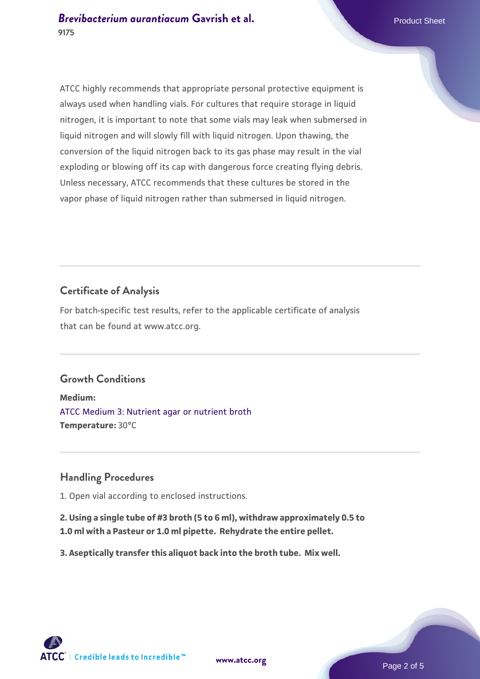ATCC highly recommends that appropriate personal protective equipment is always used when handling vials. For cultures that require storage in liquid nitrogen, it is important to note that some vials may leak when submersed in liquid nitrogen and will slowly fill with liquid nitrogen. Upon thawing, the conversion of the liquid nitrogen back to its gas phase may result in the vial exploding or blowing off its cap with dangerous force creating flying debris. Unless necessary, ATCC recommends that these cultures be stored in the vapor phase of liquid nitrogen rather than submersed in liquid nitrogen.

#### **Certificate of Analysis**

For batch-specific test results, refer to the applicable certificate of analysis that can be found at www.atcc.org.

#### **Growth Conditions**

**Medium:**  [ATCC Medium 3: Nutrient agar or nutrient broth](https://www.atcc.org/-/media/product-assets/documents/microbial-media-formulations/3/atcc-medium-3.pdf?rev=7510837507e64d849c62a46b5b2197a1) **Temperature:** 30°C

#### **Handling Procedures**

1. Open vial according to enclosed instructions.

**2. Using a single tube of #3 broth (5 to 6 ml), withdraw approximately 0.5 to 1.0 ml with a Pasteur or 1.0 ml pipette. Rehydrate the entire pellet.**

**3. Aseptically transfer this aliquot back into the broth tube. Mix well.**

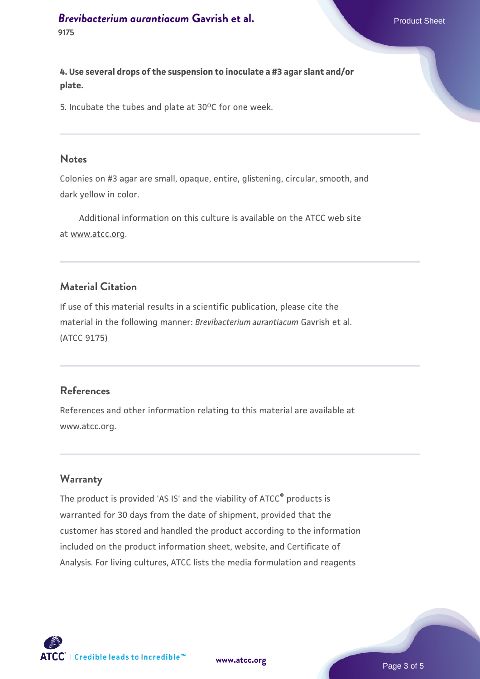**[Brevibacterium aurantiacum](https://www.atcc.org/products/9175) [Gavrish et al.](https://www.atcc.org/products/9175)** Product Sheet **9175**

**4. Use several drops of the suspension to inoculate a #3 agar slant and/or plate.**

5. Incubate the tubes and plate at 30°C for one week.

#### **Notes**

Colonies on #3 agar are small, opaque, entire, glistening, circular, smooth, and dark yellow in color.

 Additional information on this culture is available on the ATCC web site at www.atcc.org.

#### **Material Citation**

If use of this material results in a scientific publication, please cite the material in the following manner: *Brevibacterium aurantiacum* Gavrish et al. (ATCC 9175)

#### **References**

References and other information relating to this material are available at www.atcc.org.

#### **Warranty**

The product is provided 'AS IS' and the viability of ATCC® products is warranted for 30 days from the date of shipment, provided that the customer has stored and handled the product according to the information included on the product information sheet, website, and Certificate of Analysis. For living cultures, ATCC lists the media formulation and reagents



**[www.atcc.org](http://www.atcc.org)**

Page 3 of 5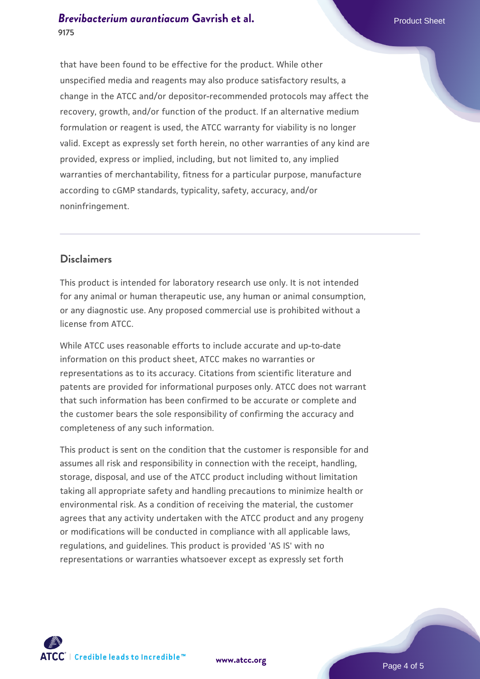### **[Brevibacterium aurantiacum](https://www.atcc.org/products/9175) [Gavrish et al.](https://www.atcc.org/products/9175)** Product Sheet **9175**

that have been found to be effective for the product. While other unspecified media and reagents may also produce satisfactory results, a change in the ATCC and/or depositor-recommended protocols may affect the recovery, growth, and/or function of the product. If an alternative medium formulation or reagent is used, the ATCC warranty for viability is no longer valid. Except as expressly set forth herein, no other warranties of any kind are provided, express or implied, including, but not limited to, any implied warranties of merchantability, fitness for a particular purpose, manufacture according to cGMP standards, typicality, safety, accuracy, and/or noninfringement.

#### **Disclaimers**

This product is intended for laboratory research use only. It is not intended for any animal or human therapeutic use, any human or animal consumption, or any diagnostic use. Any proposed commercial use is prohibited without a license from ATCC.

While ATCC uses reasonable efforts to include accurate and up-to-date information on this product sheet, ATCC makes no warranties or representations as to its accuracy. Citations from scientific literature and patents are provided for informational purposes only. ATCC does not warrant that such information has been confirmed to be accurate or complete and the customer bears the sole responsibility of confirming the accuracy and completeness of any such information.

This product is sent on the condition that the customer is responsible for and assumes all risk and responsibility in connection with the receipt, handling, storage, disposal, and use of the ATCC product including without limitation taking all appropriate safety and handling precautions to minimize health or environmental risk. As a condition of receiving the material, the customer agrees that any activity undertaken with the ATCC product and any progeny or modifications will be conducted in compliance with all applicable laws, regulations, and guidelines. This product is provided 'AS IS' with no representations or warranties whatsoever except as expressly set forth



**[www.atcc.org](http://www.atcc.org)**

Page 4 of 5